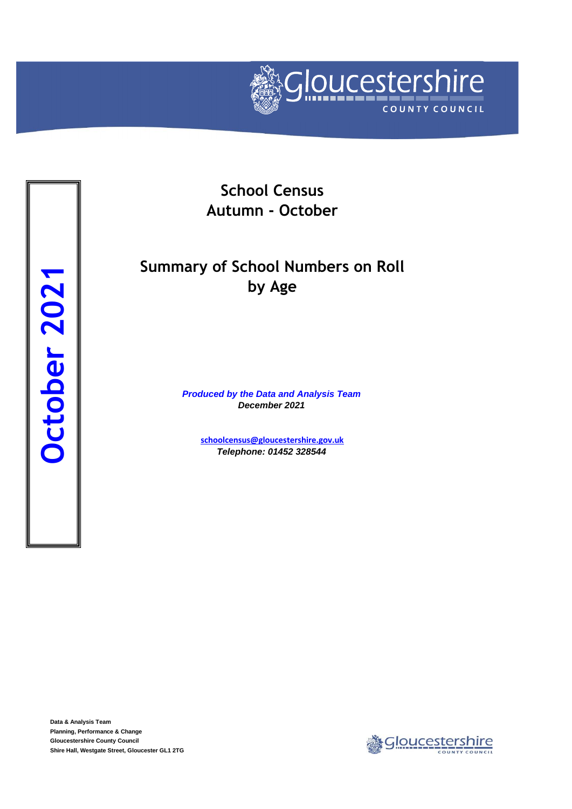

**School Census Autumn - October**

## **Summary of School Numbers on Roll by Age**

*Produced by the Data and Analysis Team December 2021*

> **[schoolcensus@gloucestersh](mailto:schoolcensus@gloucestershire.gov.uk)ire.gov.uk** *Telephone: 01452 328544*

**Data & Analysis Team Planning, Performance & Change Gloucestershire County Council**

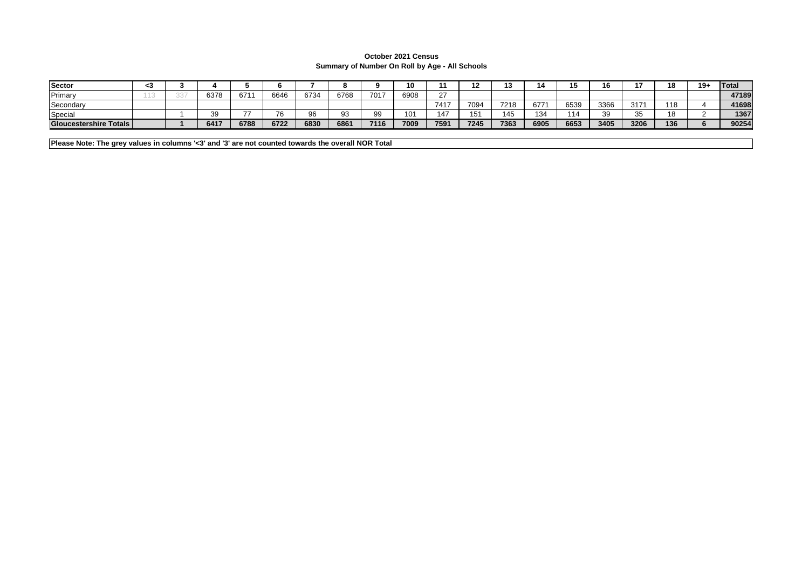## **October 2021 Census Summary of Number On Roll by Age - All Schools**

| Sector                        | 50 |      |      |      |      |      |      | 10   |        |      | <br>'' |      |      | "<br>10. |      | 18       | $19 -$ | Total |
|-------------------------------|----|------|------|------|------|------|------|------|--------|------|--------|------|------|----------|------|----------|--------|-------|
| Primary                       |    | 6378 | 671  | 6646 | 6734 | 6768 | 7017 | 6908 | $\sim$ |      |        |      |      |          |      |          |        | 47189 |
| Secondary                     |    |      |      |      |      |      |      |      | 7417   | 7094 | 7218   | 677  | 6539 | 3366     | 317' | 18       |        | 41698 |
| Special                       |    |      | --   | 76   | 96   | റാ   |      | 101  | 147    | ιυ   | 115    | 134  | 114  | 39       | 35   | 10<br>ΙČ |        | 1367  |
| <b>Gloucestershire Totals</b> |    | 6417 | 6788 | 6722 | 6830 | 6861 | 7116 | 7009 | 7591   | 7245 | 7363   | 6905 | 6653 | 3405     | 3206 | 136      |        | 90254 |

**Please Note: The grey values in columns '<3' and '3' are not counted towards the overall NOR Total**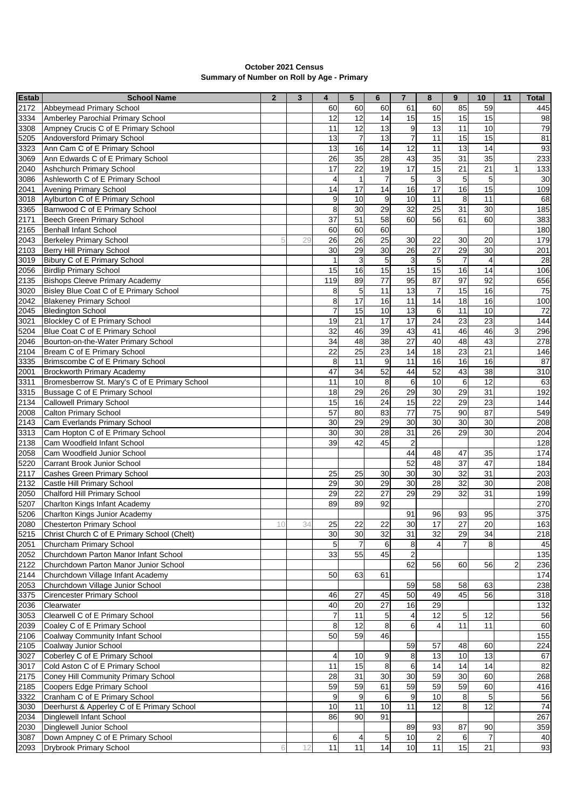| <b>October 2021 Census</b>                 |
|--------------------------------------------|
| Summary of Number on Roll by Age - Primary |

| <b>Estab</b> | <b>School Name</b>                                              | $\overline{2}$ | 3  | 4               | $5\phantom{.0}$  | $6\phantom{1}$  | $\overline{7}$          | 8                       | 9               | 10              | 11 | <b>Total</b> |
|--------------|-----------------------------------------------------------------|----------------|----|-----------------|------------------|-----------------|-------------------------|-------------------------|-----------------|-----------------|----|--------------|
| 2172         | Abbeymead Primary School                                        |                |    | 60              | 60               | 60              | 61                      | 60                      | 85              | 59              |    | 445          |
| 3334         | Amberley Parochial Primary School                               |                |    | 12              | 12               | 14              | 15                      | 15                      | 15              | 15              |    | 98           |
| 3308         | Ampney Crucis C of E Primary School                             |                |    | 11              | 12               | 13              | 9                       | 13                      | 11              | 10              |    | 79           |
| 5205         | Andoversford Primary School                                     |                |    | 13              | $\overline{7}$   | 13              | $\overline{7}$          | 11                      | 15              | 15              |    | 81           |
| 3323         | Ann Cam C of E Primary School                                   |                |    | 13              | 16               | 14              | 12                      | $\overline{11}$         | $\overline{13}$ | $\overline{14}$ |    | 93           |
| 3069         | Ann Edwards C of E Primary School                               |                |    | 26              | 35               | 28              | 43                      | 35                      | 31              | 35              |    | 233          |
| 2040         | Ashchurch Primary School                                        |                |    | 17              | 22               | 19              | 17                      | 15                      | 21              | 21              | 1  | 133          |
| 3086         | Ashleworth C of E Primary School                                |                |    | 4               | 1                | $\overline{7}$  | $\mathbf 5$             | 3                       | 5               | 5               |    | 30           |
| 2041         | Avening Primary School                                          |                |    | $\overline{14}$ | 17               | 14              | 16                      | $\overline{17}$         | 16              | 15              |    | 109          |
| 3018         | Aylburton C of E Primary School                                 |                |    | 9               | 10               | 9               | 10                      | 11                      | 8               | 11              |    | 68           |
| 3365         | Barnwood C of E Primary School                                  |                |    | 8               | 30               | 29              | 32                      | $\overline{25}$         | 31              | 30              |    | 185          |
| 2171         | Beech Green Primary School                                      |                |    | 37              | 51               | 58              | 60                      | 56                      | 61              | 60              |    | 383          |
| 2165         | <b>Benhall Infant School</b>                                    |                |    | 60              | 60               | 60              |                         |                         |                 |                 |    | 180          |
| 2043         | <b>Berkeley Primary School</b>                                  | 5              | 29 | 26              | $\overline{26}$  | $\overline{25}$ | 30                      | 22                      | 30              | 20              |    | 179          |
| 2103         | <b>Berry Hill Primary School</b>                                |                |    | 30              | 29               | 30              | 26                      | $\overline{27}$         | 29              | 30              |    | 201          |
| 3019         | Bibury C of E Primary School                                    |                |    | $\mathbf{1}$    | 3                | 5               | 3                       | 5                       | $\overline{7}$  | $\overline{4}$  |    | 28           |
| 2056         | <b>Birdlip Primary School</b>                                   |                |    | 15              | 16               | 15              | 15                      | 15                      | 16              | 14              |    | 106          |
| 2135         | <b>Bishops Cleeve Primary Academy</b>                           |                |    | 119             | 89               | 77              | 95                      | 87                      | 97              | 92              |    | 656          |
| 3020         | Bisley Blue Coat C of E Primary School                          |                |    | 8               | $\mathbf 5$      | 11              | 13                      | $\overline{7}$          | 15              | 16              |    | 75           |
| 2042         | <b>Blakeney Primary School</b>                                  |                |    | 8               | $\overline{17}$  | 16              | 11                      | 14                      | 18              | 16              |    | 100          |
| 2045         | <b>Bledington School</b>                                        |                |    | $\overline{7}$  | 15               | 10              | 13                      | 6                       | 11              | 10              |    | 72           |
| 3021         | Blockley C of E Primary School                                  |                |    | 19              | $\overline{21}$  | $\overline{17}$ | 17                      | $\overline{24}$         | $\overline{23}$ | $\overline{23}$ |    | 144          |
| 5204         | Blue Coat C of E Primary School                                 |                |    | 32              | 46               | 39              | 43                      | 41                      | 46              | 46              | 3  | 296          |
| 2046         | Bourton-on-the-Water Primary School                             |                |    | 34              | 48               | 38              | 27                      | 40                      | 48              | 43              |    | 278          |
| 2104         | Bream C of E Primary School                                     |                |    | 22              | 25               | 23              | 14                      | 18                      | 23              | 21              |    | 146          |
| 3335         | Brimscombe C of E Primary School                                |                |    | 8               | $\overline{11}$  | 9               | 11                      | 16                      | 16              | 16              |    | 87           |
| 2001         | <b>Brockworth Primary Academy</b>                               |                |    | 47              | $\overline{34}$  | 52              | 44                      | 52                      | 43              | $\overline{38}$ |    | 310          |
| 3311         | Bromesberrow St. Mary's C of E Primary School                   |                |    | 11              | 10               | 8               | 6                       | 10                      | 6               | 12              |    | 63           |
| 3315         | Bussage C of E Primary School                                   |                |    | 18              | 29               | 26              | 29                      | 30                      | $\overline{29}$ | 31              |    | 192          |
| 2134         | <b>Callowell Primary School</b>                                 |                |    | 15              | 16               | 24              | 15                      | $\overline{22}$         | 29              | $\overline{23}$ |    | 144          |
| 2008         | <b>Calton Primary School</b>                                    |                |    | 57              | 80               | 83              | 77                      | 75                      | 90              | 87              |    | 549          |
| 2143         | Cam Everlands Primary School                                    |                |    | 30              | 29               | 29              | 30                      | 30                      | 30              | 30              |    | 208          |
| 3313<br>2138 | Cam Hopton C of E Primary School<br>Cam Woodfield Infant School |                |    | 30<br>39        | 30<br>42         | 28<br>45        | 31                      | 26                      | 29              | 30              |    | 204          |
| 2058         | Cam Woodfield Junior School                                     |                |    |                 |                  |                 | $\boldsymbol{2}$<br>44  | 48                      | 47              | 35              |    | 128<br>174   |
| 5220         | Carrant Brook Junior School                                     |                |    |                 |                  |                 | 52                      | 48                      | 37              | 47              |    | 184          |
| 2117         | Cashes Green Primary School                                     |                |    | 25              | 25               | 30              | 30                      | 30                      | $\overline{32}$ | 31              |    | 203          |
| 2132         | Castle Hill Primary School                                      |                |    | 29              | 30               | 29              | 30                      | $\overline{28}$         | $\overline{32}$ | 30              |    | 208          |
| 2050         | Chalford Hill Primary School                                    |                |    | 29              | $\overline{22}$  | 27              | 29                      | 29                      | $\overline{32}$ | $\overline{31}$ |    | 199          |
| 5207         | Charlton Kings Infant Academy                                   |                |    | 89              | 89               | 92              |                         |                         |                 |                 |    | 270          |
| 5206         | Charlton Kings Junior Academy                                   |                |    |                 |                  |                 | 91                      | 96                      | 93              | 95              |    | 375          |
| 2080         | <b>Chesterton Primary School</b>                                | 10             | 34 | 25              | 22               | 22              | 30                      | $\frac{1}{2}$           | 27              | 20              |    | 163          |
| 5215         | Christ Church C of E Primary School (Chelt)                     |                |    | 30              | 30               | 32              | 31                      | 32                      | 29              | 34              |    | 218          |
| 2051         | Churcham Primary School                                         |                |    | 5               | $\overline{7}$   | 6               | 8                       | 4                       | $\overline{7}$  | 8               |    | 45           |
| 2052         | Churchdown Parton Manor Infant School                           |                |    | 33              | 55               | 45              | $\overline{\mathbf{c}}$ |                         |                 |                 |    | 135          |
| 2122         | Churchdown Parton Manor Junior School                           |                |    |                 |                  |                 | 62                      | 56                      | 60              | 56              | 2  | 236          |
| 2144         | Churchdown Village Infant Academy                               |                |    | 50              | 63               | 61              |                         |                         |                 |                 |    | 174          |
| 2053         | Churchdown Village Junior School                                |                |    |                 |                  |                 | 59                      | 58                      | 58              | 63              |    | 238          |
| 3375         | <b>Cirencester Primary School</b>                               |                |    | 46              | 27               | 45              | 50                      | 49                      | 45              | 56              |    | 318          |
| 2036         | Clearwater                                                      |                |    | 40              | 20               | 27              | 16                      | 29                      |                 |                 |    | 132          |
| 3053         | Clearwell C of E Primary School                                 |                |    | $\overline{7}$  | $\overline{11}$  | $\sqrt{5}$      | 4                       | $\overline{12}$         | 5 <sub>5</sub>  | 12              |    | 56           |
| 2039         | Coaley C of E Primary School                                    |                |    | 8               | $\overline{12}$  | 8               | 6                       | $\overline{4}$          | 11              | 11              |    | 60           |
| 2106         | Coalway Community Infant School                                 |                |    | 50              | 59               | 46              |                         |                         |                 |                 |    | 155          |
| 2105         | Coalway Junior School                                           |                |    |                 |                  |                 | 59                      | 57                      | 48              | 60              |    | 224          |
| 3027         | Coberley C of E Primary School                                  |                |    | 4               | 10               | 9               | 8                       | $\overline{13}$         | 10              | 13              |    | 67           |
| 3017         | Cold Aston C of E Primary School                                |                |    | 11              | 15               | 8               | 6                       | 14                      | 14              | 14              |    | 82           |
| 2175         | Coney Hill Community Primary School                             |                |    | 28              | 31               | 30              | 30                      | 59                      | $\overline{30}$ | 60              |    | 268          |
| 2185         | Coopers Edge Primary School                                     |                |    | 59              | 59               | 61              | 59                      | 59                      | 59              | 60              |    | 416          |
| 3322         | Cranham C of E Primary School                                   |                |    | 9               | $\boldsymbol{9}$ | 6               | 9                       | 10                      | 8               | 5               |    | 56           |
| 3030         | Deerhurst & Apperley C of E Primary School                      |                |    | 10              | 11               | 10              | 11                      | 12                      | 8               | 12              |    | 74           |
| 2034         | Dinglewell Infant School                                        |                |    | 86              | 90               | 91              |                         |                         |                 |                 |    | 267          |
| 2030         | Dinglewell Junior School                                        |                |    |                 |                  |                 | 89                      | 93                      | 87              | 90              |    | 359          |
| 3087         | Down Ampney C of E Primary School                               |                |    | 6               | 4                | $5\phantom{.0}$ | 10                      | $\overline{\mathbf{c}}$ | $\,$ 6          | $\overline{7}$  |    | 40           |
| 2093         | Drybrook Primary School                                         | 6              | 12 | $\overline{11}$ | 11               | 14              | 10                      | 11                      | 15              | 21              |    | 93           |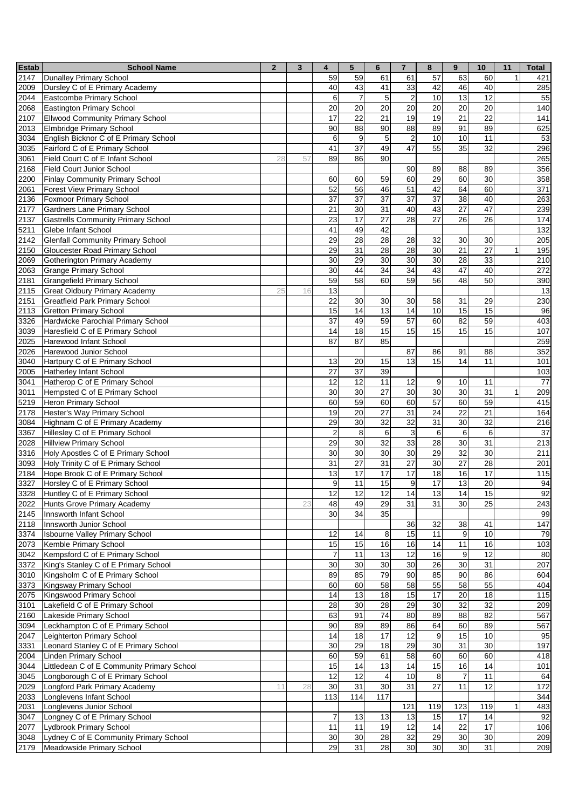| <b>Estab</b> | <b>School Name</b>                                                               | $\overline{2}$ | $\mathbf{3}$ | 4                       | 5                     | $6\phantom{1}$        | $\overline{7}$   | 8                     | 9                | 10              | 11 | <b>Total</b> |
|--------------|----------------------------------------------------------------------------------|----------------|--------------|-------------------------|-----------------------|-----------------------|------------------|-----------------------|------------------|-----------------|----|--------------|
| 2147         | Dunalley Primary School                                                          |                |              | 59                      | 59                    | 61                    | 61               | 57                    | 63               | 60              |    | 421          |
| 2009         | Dursley C of E Primary Academy                                                   |                |              | 40                      | 43                    | 41                    | 33               | 42                    | 46               | 40              |    | 285          |
| 2044         | Eastcombe Primary School                                                         |                |              | 6                       | $\overline{7}$        | $\overline{5}$        | $\overline{c}$   | 10                    | $\overline{13}$  | 12              |    | 55           |
| 2068         | Eastington Primary School                                                        |                |              | 20                      | 20                    | 20                    | 20               | 20                    | 20               | 20              |    | 140          |
| 2107         | <b>Ellwood Community Primary School</b>                                          |                |              | $\overline{17}$         | $\overline{22}$       | $\overline{21}$       | 19               | 19                    | $\overline{21}$  | $\overline{22}$ |    | 141          |
| 2013         | Elmbridge Primary School                                                         |                |              | 90                      | 88                    | 90                    | 88               | 89                    | 91               | 89              |    | 625          |
| 3034         | English Bicknor C of E Primary School                                            |                |              | 6                       | 9                     | 5                     | $\overline{c}$   | 10                    | 10               | 11              |    | 53           |
| 3035         | Fairford C of E Primary School                                                   |                |              | 41                      | $\overline{37}$       | 49                    | 47               | 55                    | 35               | 32              |    | 296          |
| 3061         | Field Court C of E Infant School                                                 | 28             | 57           | 89                      | 86                    | 90                    |                  |                       |                  |                 |    | 265          |
| 2168         | Field Court Junior School                                                        |                |              |                         |                       |                       | 90               | 89                    | 88               | 89              |    | 356          |
| 2200         | <b>Finlay Community Primary School</b>                                           |                |              | 60                      | 60                    | 59                    | 60               | 29                    | 60               | 30              |    | 358          |
| 2061         | <b>Forest View Primary School</b>                                                |                |              | 52                      | $\overline{56}$       | 46                    | 51               | 42                    | 64               | 60              |    | 371          |
| 2136         | <b>Foxmoor Primary School</b>                                                    |                |              | 37<br>21                | $\overline{37}$<br>30 | $\overline{37}$<br>31 | 37<br>40         | $\overline{37}$<br>43 | 38<br>27         | 40<br>47        |    | 263          |
| 2177<br>2137 | <b>Gardners Lane Primary School</b><br><b>Gastrells Community Primary School</b> |                |              | 23                      | 17                    | 27                    | 28               | 27                    | 26               | 26              |    | 239<br>174   |
| 5211         | Glebe Infant School                                                              |                |              | 41                      | 49                    | 42                    |                  |                       |                  |                 |    | 132          |
| 2142         | <b>Glenfall Community Primary School</b>                                         |                |              | 29                      | $\overline{28}$       | $\overline{28}$       | 28               | 32                    | 30               | 30              |    | 205          |
| 2150         | <b>Gloucester Road Primary School</b>                                            |                |              | $\overline{29}$         | $\overline{31}$       | $\overline{28}$       | $\overline{28}$  | 30                    | $\overline{21}$  | $\overline{27}$ |    | 195          |
| 2069         | Gotherington Primary Academy                                                     |                |              | 30                      | 29                    | 30                    | 30               | 30                    | $\overline{28}$  | 33              |    | 210          |
| 2063         | <b>Grange Primary School</b>                                                     |                |              | 30                      | 44                    | 34                    | 34               | 43                    | $\overline{47}$  | 40              |    | 272          |
| 2181         | <b>Grangefield Primary School</b>                                                |                |              | 59                      | 58                    | 60                    | 59               | 56                    | 48               | 50              |    | 390          |
| 2115         | <b>Great Oldbury Primary Academy</b>                                             | 25             | 16           | 13                      |                       |                       |                  |                       |                  |                 |    | 13           |
| 2151         | <b>Greatfield Park Primary School</b>                                            |                |              | 22                      | 30                    | 30                    | 30               | 58                    | 31               | 29              |    | 230          |
| 2113         | <b>Gretton Primary School</b>                                                    |                |              | 15                      | 14                    | 13                    | 14               | 10                    | 15               | 15              |    | 96           |
| 3326         | Hardwicke Parochial Primary School                                               |                |              | 37                      | 49                    | 59                    | 57               | 60                    | 82               | 59              |    | 403          |
| 3039         | Haresfield C of E Primary School                                                 |                |              | 14                      | 18                    | 15                    | 15               | 15                    | 15               | 15              |    | 107          |
| 2025         | Harewood Infant School                                                           |                |              | 87                      | 87                    | 85                    |                  |                       |                  |                 |    | 259          |
| 2026         | Harewood Junior School                                                           |                |              |                         |                       |                       | 87               | 86                    | 91               | 88              |    | 352          |
| 3040         | Hartpury C of E Primary School                                                   |                |              | 13                      | 20                    | 15                    | 13               | 15                    | 14               | 11              |    | 101          |
| 2005         | <b>Hatherley Infant School</b>                                                   |                |              | $\overline{27}$         | $\overline{37}$       | 39                    |                  |                       |                  |                 |    | 103          |
| 3041         | Hatherop C of E Primary School                                                   |                |              | 12                      | 12                    | 11                    | 12               | 9                     | 10               | 11              |    | 77           |
| 3011         | Hempsted C of E Primary School                                                   |                |              | 30                      | 30                    | 27                    | 30               | 30                    | 30               | 31              | 1  | 209          |
| 5219         | Heron Primary School                                                             |                |              | 60                      | 59                    | 60                    | 60               | $\overline{57}$       | 60               | 59              |    | 415          |
| 2178         | Hester's Way Primary School                                                      |                |              | 19                      | $\overline{20}$       | $\overline{27}$       | 31               | $\overline{24}$       | $\overline{22}$  | $\overline{21}$ |    | 164          |
| 3084         | Highnam C of E Primary Academy                                                   |                |              | 29                      | 30                    | 32                    | 32               | 31                    | 30               | 32              |    | 216          |
| 3367         | Hillesley C of E Primary School                                                  |                |              | $\overline{\mathbf{c}}$ | 8                     | 6                     | $\mathsf 3$      | 6                     | 6                | 6               |    | 37           |
| 2028         | <b>Hillview Primary School</b>                                                   |                |              | 29                      | 30                    | 32                    | 33               | 28                    | 30               | 31              |    | 213          |
| 3316         | Holy Apostles C of E Primary School                                              |                |              | 30                      | $\overline{30}$       | 30                    | 30               | 29                    | $\overline{32}$  | 30              |    | 211          |
| 3093         | Holy Trinity C of E Primary School                                               |                |              | 31                      | 27                    | 31                    | 27               | 30                    | 27               | 28              |    | 201          |
| 2184         | Hope Brook C of E Primary School                                                 |                |              | 13                      | 17                    | 17                    | 17               | 18                    | 16               | 17              |    | 115          |
| 3327         | Horsley C of E Primary School                                                    |                |              | $\boldsymbol{9}$        | 11                    | 15                    | $\boldsymbol{9}$ | 17                    | $\overline{13}$  | 20              |    | 94           |
|              | 3328 Huntley C of E Primary School                                               |                |              | 12                      | 12                    | 12                    | 14               | 13                    | 14               | 15              |    | 92           |
| 2022         | Hunts Grove Primary Academy                                                      |                | 23           | 48                      | 49<br>$\overline{34}$ | 29                    | 31               | 31                    | 30               | 25              |    | 243          |
| 2145<br>2118 | Innsworth Infant School<br>Innsworth Junior School                               |                |              | 30                      |                       | 35                    |                  |                       |                  |                 |    | 99           |
|              |                                                                                  |                |              |                         |                       | 8                     | 36<br>15         | 32                    | 38<br>$9$        | 41<br>10        |    | 147          |
| 3374<br>2073 | <b>Isbourne Valley Primary School</b><br>Kemble Primary School                   |                |              | 12<br>15                | 14<br>15              | 16                    | 16               | 11<br>14              | 11               | 16              |    | 79<br>103    |
| 3042         | Kempsford C of E Primary School                                                  |                |              | $\boldsymbol{7}$        | 11                    | 13                    | 12               | 16                    | $\boldsymbol{9}$ | $\overline{12}$ |    | 80           |
| 3372         | King's Stanley C of E Primary School                                             |                |              | 30                      | 30                    | 30                    | 30               | 26                    | 30               | 31              |    | 207          |
| 3010         | Kingsholm C of E Primary School                                                  |                |              | 89                      | 85                    | 79                    | 90               | 85                    | 90               | 86              |    | 604          |
| 3373         | Kingsway Primary School                                                          |                |              | 60                      | 60                    | 58                    | 58               | 55                    | 58               | 55              |    | 404          |
| 2075         | Kingswood Primary School                                                         |                |              | 14                      | 13                    | 18                    | 15               | 17                    | 20               | $\frac{1}{8}$   |    | 115          |
| 3101         | Lakefield C of E Primary School                                                  |                |              | 28                      | 30                    | 28                    | 29               | 30                    | 32               | 32              |    | 209          |
| 2160         | Lakeside Primary School                                                          |                |              | 63                      | 91                    | $\overline{74}$       | 80               | 89                    | 88               | 82              |    | 567          |
| 3094         | Leckhampton C of E Primary School                                                |                |              | 90                      | 89                    | 89                    | 86               | 64                    | 60               | 89              |    | 567          |
| 2047         | Leighterton Primary School                                                       |                |              | 14                      | 18                    | 17                    | 12               | $\overline{9}$        | 15               | $\overline{10}$ |    | 95           |
| 3331         | Leonard Stanley C of E Primary School                                            |                |              | 30                      | 29                    | 18                    | 29               | 30                    | 31               | 30              |    | 197          |
| 2004         | Linden Primary School                                                            |                |              | 60                      | 59                    | 61                    | 58               | 60                    | 60               | 60              |    | 418          |
| 3044         | Littledean C of E Community Primary School                                       |                |              | 15                      | 14                    | 13                    | 14               | 15                    | 16               | 14              |    | 101          |
| 3045         | Longborough C of E Primary School                                                |                |              | 12                      | 12                    | $\overline{4}$        | 10               | 8                     | $\overline{7}$   | 11              |    | 64           |
| 2029         | Longford Park Primary Academy                                                    | 11             | 28           | 30                      | 31                    | 30                    | 31               | 27                    | 11               | 12              |    | 172          |
| 2033         | Longlevens Infant School                                                         |                |              | 113                     | 114                   | 117                   |                  |                       |                  |                 |    | 344          |
| 2031         | Longlevens Junior School                                                         |                |              |                         |                       |                       | 121              | 119                   | 123              | 119             |    | 483          |
| 3047         | Longney C of E Primary School                                                    |                |              | $\overline{7}$          | 13                    | 13                    | 13               | 15                    | 17               | 14              |    | 92           |
| 2077         | Lydbrook Primary School                                                          |                |              | 11                      | 11                    | 19                    | 12               | 14                    | $\overline{22}$  | $\overline{17}$ |    | 106          |
| 3048         | Lydney C of E Community Primary School                                           |                |              | 30                      | 30                    | 28                    | 32               | 29                    | 30               | 30              |    | 209          |
| 2179         | Meadowside Primary School                                                        |                |              | 29                      | 31                    | 28                    | 30               | 30                    | 30               | 31              |    | 209          |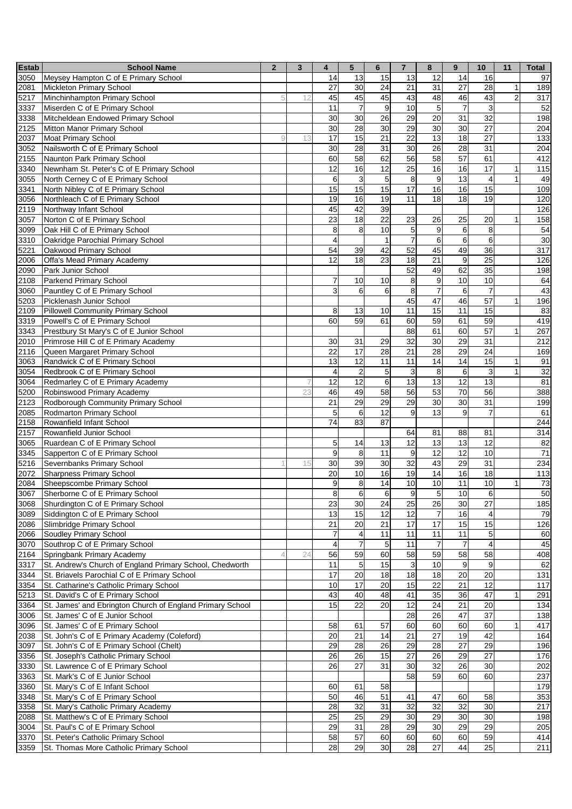| <b>Estab</b> | <b>School Name</b>                                                      | $\overline{2}$ | 3  | $\overline{\mathbf{4}}$  | $5\phantom{.0}$         | $6\phantom{1}$  | $\overline{7}$ | 8                      | 9                | 10                            | 11             | <b>Total</b> |
|--------------|-------------------------------------------------------------------------|----------------|----|--------------------------|-------------------------|-----------------|----------------|------------------------|------------------|-------------------------------|----------------|--------------|
| 3050         | Meysey Hampton C of E Primary School                                    |                |    | 14                       | 13                      | 15              | 13             | 12                     | 14               | 16                            |                | 97           |
| 2081         | Mickleton Primary School                                                |                |    | 27                       | 30                      | 24              | 21             | 31                     | 27               | 28                            | $\mathbf{1}$   | 189          |
| 5217         | Minchinhampton Primary School                                           | 5              | 12 | 45                       | 45                      | 45              | 43             | 48                     | 46               | 43                            | $\overline{c}$ | 317          |
| 3337         | Miserden C of E Primary School                                          |                |    | 11                       | $\overline{7}$          | 9               | 10             | 5                      | $\overline{7}$   | $\mathbf{3}$                  |                | 52           |
| 3338         | Mitcheldean Endowed Primary School                                      |                |    | 30                       | 30                      | 26              | 29             | 20                     | 31               | 32                            |                | 198          |
| 2125         | Mitton Manor Primary School                                             |                |    | 30                       | 28                      | 30              | 29             | 30                     | 30               | $\overline{27}$               |                | 204          |
| 2037         | <b>Moat Primary School</b>                                              | g              | 13 | 17                       | 15                      | 21              | 22             | 13                     | 18               | $\overline{27}$               |                | 133          |
| 3052         | Nailsworth C of E Primary School                                        |                |    | 30                       | 28                      | 31              | 30             | 26                     | 28               | 31                            |                | 204          |
| 2155         | Naunton Park Primary School                                             |                |    | 60                       | $\overline{58}$         | 62              | 56             | $\overline{58}$        | $\overline{57}$  | 61                            |                | 412          |
| 3340         | Newnham St. Peter's C of E Primary School                               |                |    | 12                       | 16                      | 12              | 25             | 16                     | 16               | 17                            | $\mathbf{1}$   | 115          |
| 3055         | North Cerney C of E Primary School                                      |                |    | 6<br>15                  | $\mathbf{3}$<br>15      | 5<br>15         | 8<br>17        | $\boldsymbol{9}$<br>16 | 13<br>16         | $\overline{\mathbf{4}}$<br>15 | $\mathbf{1}$   | 49           |
| 3341<br>3056 | North Nibley C of E Primary School<br>Northleach C of E Primary School  |                |    | 19                       | 16                      | 19              | 11             | 18                     | 18               | 19                            |                | 109<br>120   |
| 2119         | Northway Infant School                                                  |                |    | 45                       | 42                      | 39              |                |                        |                  |                               |                | 126          |
| 3057         | Norton C of E Primary School                                            |                |    | 23                       | 18                      | 22              | 23             | 26                     | 25               | 20                            | $\mathbf{1}$   | 158          |
| 3099         | Oak Hill C of E Primary School                                          |                |    | 8                        | 8                       | 10              | 5              | 9                      | 6                | 8                             |                | 54           |
| 3310         | Oakridge Parochial Primary School                                       |                |    | $\overline{\mathcal{A}}$ |                         | $\mathbf{1}$    | $\overline{7}$ | 6                      | $6\phantom{1}$   | $\sigma$                      |                | 30           |
| 5221         | Oakwood Primary School                                                  |                |    | 54                       | 39                      | 42              | 52             | 45                     | 49               | 36                            |                | 317          |
| 2006         | Offa's Mead Primary Academy                                             |                |    | 12                       | 18                      | 23              | 18             | $\overline{21}$        | 9                | 25                            |                | 126          |
| 2090         | Park Junior School                                                      |                |    |                          |                         |                 | 52             | 49                     | 62               | 35                            |                | 198          |
| 2108         | Parkend Primary School                                                  |                |    | $\overline{7}$           | 10                      | 10              | $\bf 8$        | $\boldsymbol{9}$       | 10               | 10                            |                | 64           |
| 3060         | Pauntley C of E Primary School                                          |                |    | 3                        | 6                       | 6               | 8              | $\overline{7}$         | $6 \,$           | $\overline{7}$                |                | 43           |
| 5203         | Picklenash Junior School                                                |                |    |                          |                         |                 | 45             | 47                     | 46               | 57                            | $\mathbf{1}$   | 196          |
| 2109         | <b>Pillowell Community Primary School</b>                               |                |    | 8                        | 13                      | 10              | 11             | 15                     | 11               | 15                            |                | 83           |
| 3319         | Powell's C of E Primary School                                          |                |    | 60                       | 59                      | 61              | 60             | 59                     | 61               | 59                            |                | 419          |
| 3343         | Prestbury St Mary's C of E Junior School                                |                |    |                          |                         |                 | 88             | 61                     | 60               | $\overline{57}$               | $\mathbf{1}$   | 267          |
| 2010         | Primrose Hill C of E Primary Academy                                    |                |    | 30                       | 31                      | 29              | 32             | 30                     | 29               | 31                            |                | 212          |
| 2116         | Queen Margaret Primary School                                           |                |    | 22                       | 17                      | 28              | 21             | 28                     | 29               | 24                            |                | 169          |
| 3063         | Randwick C of E Primary School                                          |                |    | 13                       | 12                      | 11              | 11             | 14                     | 14               | 15                            | $\mathbf{1}$   | 91           |
| 3054         | Redbrook C of E Primary School                                          |                |    | $\overline{4}$           | $\overline{c}$          | 5 <sub>l</sub>  | 3              | $\bf8$                 | 6                | $\mathbf{3}$                  | $\mathbf{1}$   | 32           |
| 3064         | Redmarley C of E Primary Academy                                        |                | 7  | 12                       | $\overline{12}$         | $6 \,$          | 13             | $\overline{a}$         | 12               | 13                            |                | 81           |
| 5200         | Robinswood Primary Academy                                              |                | 23 | 46                       | 49                      | 58              | 56             | 53                     | 70               | 56                            |                | 388          |
| 2123         | Rodborough Community Primary School                                     |                |    | 21                       | 29                      | 29              | 29             | 30                     | 30               | 31                            |                | 199          |
| 2085         | Rodmarton Primary School                                                |                |    | 5                        | 6                       | 12              | 9              | 13                     | 9                | $\overline{7}$                |                | 61           |
| 2158         | Rowanfield Infant School                                                |                |    | 74                       | 83                      | 87              |                |                        |                  |                               |                | 244          |
| 2157         | Rowanfield Junior School                                                |                |    |                          |                         |                 | 64             | 81                     | 88               | 81                            |                | 314          |
| 3065         | Ruardean C of E Primary School                                          |                |    | 5                        | 14                      | 13              | 12             | 13<br>$\overline{12}$  | 13               | 12                            |                | 82           |
| 3345<br>5216 | Sapperton C of E Primary School<br>Severnbanks Primary School           |                | 15 | $\boldsymbol{9}$<br>30   | 8<br>39                 | 11<br>30        | 9<br>32        | 43                     | 12<br>29         | 10<br>31                      |                | 71<br>234    |
| 2072         | <b>Sharpness Primary School</b>                                         |                |    | 20                       | 10                      | 16              | 19             | 14                     | 16               | 18                            |                | 113          |
| 2084         | Sheepscombe Primary School                                              |                |    | 9                        | 8                       | 14              | 10             | 10                     | 11               | 10                            | $\mathbf{1}$   | 73           |
| 3067         | Sherborne C of E Primary School                                         |                |    | $\bf 8$                  | 6                       | 6               |                |                        | 10               | 6                             |                | 50           |
| 3068         | Shurdington C of E Primary School                                       |                |    | $\overline{23}$          | 30                      | 24              | 9<br>25        | $\mathbf{p}$<br>26     | 30               | $\overline{27}$               |                | 185          |
| 3089         | Siddington C of E Primary School                                        |                |    | 13                       | 15                      | 12              | 12             | $\overline{7}$         | 16               | $\overline{4}$                |                | 79           |
| 2086         | Slimbridge Primary School                                               |                |    | 21                       | 20                      | 21              | 17             | 17                     | 15               | 15                            |                | 126          |
| 2066         | Soudley Primary School                                                  |                |    | $\overline{7}$           | $\overline{\mathbf{4}}$ | 11              | 11             | 11                     | 11               | $5\overline{)}$               |                | 60           |
| 3070         | Southrop C of E Primary School                                          |                |    | $\overline{4}$           | $\overline{7}$          | $5\overline{)}$ | 11             | $\overline{7}$         | $\overline{7}$   | $\overline{4}$                |                | 45           |
| 2164         | Springbank Primary Academy                                              | $\Delta$       | 24 | 56                       | 59                      | 60              | 58             | 59                     | 58               | 58                            |                | 408          |
| 3317         | St. Andrew's Church of England Primary School, Chedworth                |                |    | 11                       | 5 <sub>5</sub>          | 15              | 3              | 10                     | $\boldsymbol{9}$ | 9                             |                | 62           |
| 3344         | St. Briavels Parochial C of E Primary School                            |                |    | 17                       | 20                      | 18              | 18             | 18                     | 20               | 20                            |                | 131          |
| 3354         | St. Catharine's Catholic Primary School                                 |                |    | 10                       | $\overline{17}$         | 20              | 15             | $\overline{22}$        | 21               | 12                            |                | 117          |
| 5213         | St. David's C of E Primary School                                       |                |    | 43                       | 40                      | 48              | 41             | 35                     | 36               | 47                            | $\mathbf{1}$   | 291          |
| 3364         | St. James' and Ebrington Church of England Primary School               |                |    | 15                       | 22                      | 20              | 12             | 24                     | 21               | 20                            |                | 134          |
| 3006         | St. James' C of E Junior School                                         |                |    |                          |                         |                 | 28             | 26                     | 47               | 37                            |                | 138          |
| 3096         | St. James' C of E Primary School                                        |                |    | 58                       | 61                      | 57              | 60             | 60                     | 60               | 60                            | $\mathbf{1}$   | 417          |
| 2038         | St. John's C of E Primary Academy (Coleford)                            |                |    | 20                       | 21                      | 14              | 21             | $\overline{27}$        | 19               | 42                            |                | 164          |
| 3097         | St. John's C of E Primary School (Chelt)                                |                |    | 29                       | 28                      | 26              | 29             | 28                     | 27               | 29                            |                | 196          |
| 3356         | St. Joseph's Catholic Primary School                                    |                |    | 26                       | 26                      | 15              | 27             | 26                     | 29               | 27                            |                | 176          |
| 3330         | St. Lawrence C of E Primary School                                      |                |    | 26                       | 27                      | 31              | 30             | 32                     | 26               | 30                            |                | 202          |
| 3363         | St. Mark's C of E Junior School                                         |                |    |                          |                         |                 | 58             | 59                     | 60               | 60                            |                | 237          |
| 3360         | St. Mary's C of E Infant School                                         |                |    | 60                       | 61                      | 58              |                |                        |                  |                               |                | 179          |
| 3348         | St. Mary's C of E Primary School                                        |                |    | 50                       | 46                      | 51              | 41             | 47                     | 60               | 58                            |                | 353          |
| 3358         | St. Mary's Catholic Primary Academy                                     |                |    | 28                       | $\overline{32}$         | 31              | 32             | $\overline{32}$        | 32               | 30                            |                | 217          |
| 2088         | St. Matthew's C of E Primary School                                     |                |    | 25<br>29                 | $\overline{25}$<br>31   | 29              | 30<br>29       | 29<br>30               | 30<br>29         | 30<br>29                      |                | 198          |
| 3004<br>3370 | St. Paul's C of E Primary School<br>St. Peter's Catholic Primary School |                |    | 58                       | 57                      | 28<br>60        | 60             | 60                     | 60               | 59                            |                | 205<br>414   |
| 3359         | St. Thomas More Catholic Primary School                                 |                |    | 28                       | 29                      | 30              | 28             | 27                     | 44               | 25                            |                | 211          |
|              |                                                                         |                |    |                          |                         |                 |                |                        |                  |                               |                |              |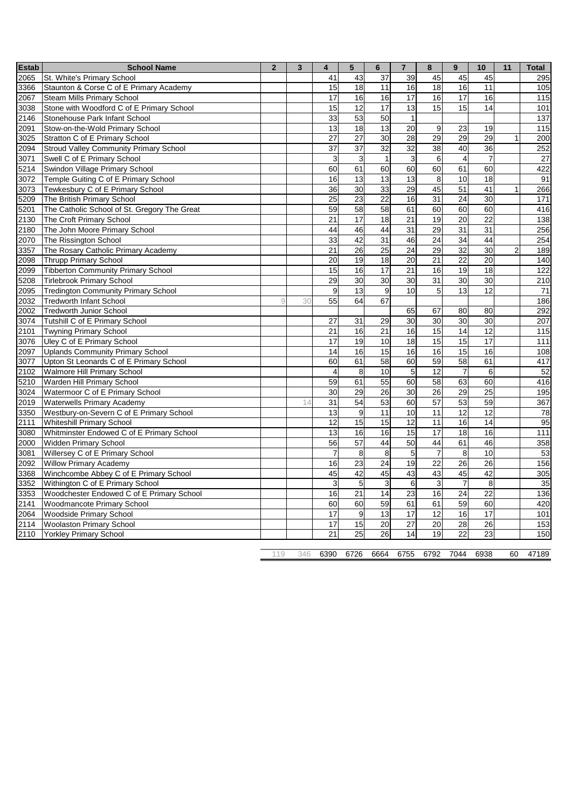| <b>Estab</b> | <b>School Name</b>                            | $\overline{2}$ | 3   | $\overline{4}$  | 5                | 6               | $\overline{7}$  | 8               | 9               | 10              | 11             | Total             |
|--------------|-----------------------------------------------|----------------|-----|-----------------|------------------|-----------------|-----------------|-----------------|-----------------|-----------------|----------------|-------------------|
| 2065         | St. White's Primary School                    |                |     | 41              | 43               | 37              | 39              | 45              | 45              | 45              |                | 295               |
| 3366         | Staunton & Corse C of E Primary Academy       |                |     | 15              | 18               | 11              | 16              | 18              | 16              | 11              |                | 105               |
| 2067         | Steam Mills Primary School                    |                |     | 17              | 16               | 16              | 17              | 16              | 17              | 16              |                | 115               |
| 3038         | Stone with Woodford C of E Primary School     |                |     | 15              | $\overline{12}$  | 17              | 13              | 15              | 15              | 14              |                | 101               |
| 2146         | Stonehouse Park Infant School                 |                |     | 33              | 53               | 50              | $\mathbf{1}$    |                 |                 |                 |                | $\frac{137}{137}$ |
| 2091         | Stow-on-the-Wold Primary School               |                |     | 13              | 18               | 13              | 20              | 9               | 23              | 19              |                | 115               |
| 3025         | Stratton C of E Primary School                |                |     | 27              | 27               | 30              | 28              | 29              | 29              | 29              | $\mathbf{1}$   | 200               |
| 2094         | <b>Stroud Valley Community Primary School</b> |                |     | 37              | 37               | $\overline{32}$ | 32              | 38              | 40              | 36              |                | 252               |
| 3071         | Swell C of E Primary School                   |                |     | 3               | $\overline{3}$   | $\overline{1}$  | $\mathbf{3}$    | $\overline{6}$  | $\overline{4}$  | $\overline{7}$  |                | 27                |
| 5214         | Swindon Village Primary School                |                |     | 60              | 61               | 60              | 60              | 60              | 61              | 60              |                | 422               |
| 3072         | Temple Guiting C of E Primary School          |                |     | 16              | $\overline{13}$  | 13              | 13              | $\overline{8}$  | 10              | 18              |                | 91                |
| 3073         | Tewkesbury C of E Primary School              |                |     | 36              | 30               | 33              | 29              | 45              | 51              | 41              | $\mathbf{1}$   | 266               |
| 5209         | The British Primary School                    |                |     | 25              | $\overline{23}$  | 22              | 16              | 31              | 24              | 30              |                | 171               |
| 5201         | The Catholic School of St. Gregory The Great  |                |     | 59              | 58               | 58              | 61              | 60              | 60              | 60              |                | 416               |
| 2130         | The Croft Primary School                      |                |     | 21              | 17               | 18              | 21              | 19              | 20              | 22              |                | 138               |
| 2180         | The John Moore Primary School                 |                |     | 44              | 46               | 44              | 31              | 29              | 31              | 31              |                | 256               |
| 2070         | The Rissington School                         |                |     | 33              | 42               | 31              | 46              | 24              | 34              | 44              |                | 254               |
| 3357         | The Rosary Catholic Primary Academy           |                |     | 21              | 26               | $\overline{25}$ | 24              | 29              | 32              | 30              | $\overline{c}$ | 189               |
| 2098         | <b>Thrupp Primary School</b>                  |                |     | 20              | 19               | 18              | 20              | 21              | 22              | 20              |                | 140               |
| 2099         | <b>Tibberton Community Primary School</b>     |                |     | 15              | 16               | 17              | 21              | 16              | 19              | 18              |                | 122               |
| 5208         | <b>Tirlebrook Primary School</b>              |                |     | 29              | 30               | 30              | 30              | 31              | 30              | 30              |                | 210               |
| 2095         | <b>Tredington Community Primary School</b>    |                |     | 9               | 13               | 9               | 10              | $\overline{5}$  | 13              | 12              |                | 71                |
| 2032         | <b>Tredworth Infant School</b>                | C              | 30  | 55              | 64               | 67              |                 |                 |                 |                 |                | 186               |
| 2002         | <b>Tredworth Junior School</b>                |                |     |                 |                  |                 | 65              | 67              | 80              | 80              |                | 292               |
| 3074         | Tutshill C of E Primary School                |                |     | 27              | 31               | 29              | 30              | 30              | 30              | 30              |                | 207               |
| 2101         | <b>Twyning Primary School</b>                 |                |     | 21              | 16               | $\overline{21}$ | 16              | 15              | 14              | $\overline{12}$ |                | 115               |
| 3076         | Uley C of E Primary School                    |                |     | 17              | 19               | 10              | 18              | 15              | 15              | 17              |                | 111               |
| 2097         | <b>Uplands Community Primary School</b>       |                |     | 14              | 16               | 15              | 16              | 16              | 15              | 16              |                | 108               |
| 3077         | Upton St Leonards C of E Primary School       |                |     | 60              | 61               | 58              | 60              | 59              | 58              | 61              |                | 417               |
| 2102         | <b>Walmore Hill Primary School</b>            |                |     | $\overline{4}$  | $\bf8$           | 10              | 5               | 12              | $\overline{7}$  | 6               |                | 52                |
| 5210         | Warden Hill Primary School                    |                |     | 59              | 61               | 55              | 60              | $\overline{58}$ | 63              | 60              |                | 416               |
| 3024         | Watermoor C of E Primary School               |                |     | 30              | 29               | $\overline{26}$ | 30              | $\overline{26}$ | 29              | 25              |                | 195               |
| 2019         | <b>Waterwells Primary Academy</b>             |                | 14  | 31              | 54               | 53              | 60              | 57              | 53              | 59              |                | 367               |
| 3350         | Westbury-on-Severn C of E Primary School      |                |     | $\overline{13}$ | $\boldsymbol{9}$ | 11              | 10              | 11              | $\overline{12}$ | $\overline{12}$ |                | 78                |
| 2111         | <b>Whiteshill Primary School</b>              |                |     | 12              | 15               | 15              | 12              | 11              | 16              | 14              |                | 95                |
| 3080         | Whitminster Endowed C of E Primary School     |                |     | 13              | 16               | 16              | 15              | 17              | 18              | 16              |                | 111               |
| 2000         | <b>Widden Primary School</b>                  |                |     | 56              | $\overline{57}$  | 44              | 50              | 44              | 61              | 46              |                | 358               |
| 3081         | Willersey C of E Primary School               |                |     | $\overline{7}$  | $\overline{8}$   | 8               | 5               | $\overline{7}$  | 8               | 10              |                | 53                |
| 2092         | <b>Willow Primary Academy</b>                 |                |     | 16              | $\overline{23}$  | 24              | 19              | $\overline{22}$ | 26              | 26              |                | 156               |
| 3368         | Winchcombe Abbey C of E Primary School        |                |     | 45              | 42               | 45              | 43              | 43              | 45              | 42              |                | 305               |
| 3352         | Withington C of E Primary School              |                |     | 3               | 5                | 3               | 6               | 3               | $\overline{7}$  | 8               |                | 35                |
| 3353         | Woodchester Endowed C of E Primary School     |                |     | 16              | 21               | 14              | 23              | 16              | 24              | 22              |                | 136               |
| 2141         | Woodmancote Primary School                    |                |     | 60              | 60               | 59              | 61              | 61              | 59              | 60              |                | 420               |
| 2064         | Woodside Primary School                       |                |     | 17              | $\boldsymbol{9}$ | 13              | 17              | 12              | 16              | 17              |                | 101               |
| 2114         | <b>Woolaston Primary School</b>               |                |     | 17              | 15               | $\overline{20}$ | $\overline{27}$ | $\overline{20}$ | $\overline{28}$ | $\overline{26}$ |                | 153               |
| 2110         | <b>Yorkley Primary School</b>                 |                |     | 21              | 25               | 26              | 14              | 19              | 22              | 23              |                | 150               |
|              |                                               |                |     |                 |                  |                 |                 |                 |                 |                 |                |                   |
|              |                                               | 119            | 346 | 6390            | 6726             | 6664            | 6755            | 6792            | 7044            | 6938            | 60             | 47189             |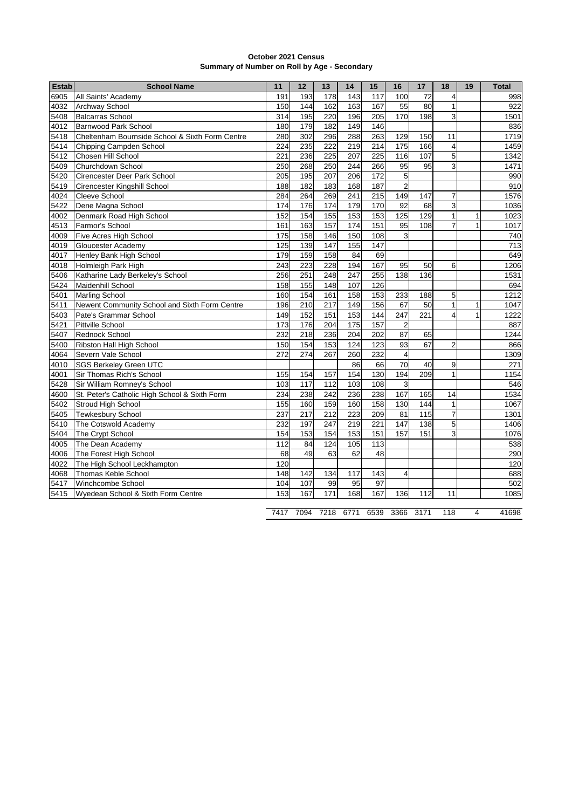| October 2021 Census                          |
|----------------------------------------------|
| Summary of Number on Roll by Age - Secondary |

| <b>Estab</b> | <b>School Name</b>                              | 11  | 12              | 13               | 14               | 15              | 16                      | 17              | 18                      | 19           | <b>Total</b> |
|--------------|-------------------------------------------------|-----|-----------------|------------------|------------------|-----------------|-------------------------|-----------------|-------------------------|--------------|--------------|
| 6905         | All Saints' Academy                             | 191 | 193             | 178              | 143              | 117             | 100                     | 72              | $\overline{4}$          |              | 998          |
| 4032         | Archway School                                  | 150 | 144             | 162              | 163              | 167             | 55                      | 80              | 1                       |              | 922          |
| 5408         | <b>Balcarras School</b>                         | 314 | 195             | 220              | 196              | 205             | 170                     | 198             | 3                       |              | 1501         |
| 4012         | <b>Barnwood Park School</b>                     | 180 | 179             | 182              | 149              | 146             |                         |                 |                         |              | 836          |
| 5418         | Cheltenham Bournside School & Sixth Form Centre | 280 | 302             | 296              | 288              | 263             | 129                     | 150             | 11                      |              | 1719         |
| 5414         | Chipping Campden School                         | 224 | 235             | 222              | 219              | 214             | 175                     | 166             | $\overline{4}$          |              | 1459         |
| 5412         | Chosen Hill School                              | 221 | 236             | 225              | 207              | 225             | 116                     | 107             | 5                       |              | 1342         |
| 5409         | Churchdown School                               | 250 | 268             | 250              | 244              | 266             | 95                      | 95              | 3                       |              | 1471         |
| 5420         | Cirencester Deer Park School                    | 205 | 195             | 207              | 206              | 172             | 5                       |                 |                         |              | 990          |
| 5419         | Cirencester Kingshill School                    | 188 | 182             | 183              | 168              | 187             | $\overline{c}$          |                 |                         |              | 910          |
| 4024         | Cleeve School                                   | 284 | 264             | 269              | 241              | 215             | 149                     | 147             | $\overline{7}$          |              | 1576         |
| 5422         | Dene Magna School                               | 174 | 176             | 174              | 179              | 170             | 92                      | 68              | 3                       |              | 1036         |
| 4002         | Denmark Road High School                        | 152 | 154             | 155              | 153              | $\frac{1}{153}$ | 125                     | 129             | $\mathbf{1}$            | $\mathbf{1}$ | 1023         |
| 4513         | Farmor's School                                 | 161 | 163             | 157              | 174              | 151             | 95                      | 108             | $\overline{7}$          | $\mathbf{1}$ | 1017         |
| 4009         | Five Acres High School                          | 175 | 158             | 146              | 150              | 108             | 3                       |                 |                         |              | 740          |
| 4019         | Gloucester Academy                              | 125 | 139             | 147              | 155              | 147             |                         |                 |                         |              | 713          |
| 4017         | Henley Bank High School                         | 179 | 159             | 158              | 84               | 69              |                         |                 |                         |              | 649          |
| 4018         | Holmleigh Park High                             | 243 | 223             | 228              | 194              | 167             | 95                      | 50              | 6                       |              | 1206         |
| 5406         | Katharine Lady Berkeley's School                | 256 | 251             | 248              | 247              | 255             | 138                     | 136             |                         |              | 1531         |
| 5424         | Maidenhill School                               | 158 | 155             | 148              | 107              | 126             |                         |                 |                         |              | 694          |
| 5401         | Marling School                                  | 160 | 154             | 161              | 158              | 153             | 233                     | 188             | 5                       |              | 1212         |
| 5411         | Newent Community School and Sixth Form Centre   | 196 | 210             | 217              | 149              | 156             | 67                      | 50              | $\mathbf{1}$            | $\mathbf{1}$ | 1047         |
| 5403         | Pate's Grammar School                           | 149 | 152             | 151              | $\frac{1}{153}$  | 144             | 247                     | 221             | $\overline{\mathbf{4}}$ | $\mathbf{1}$ | 1222         |
| 5421         | Pittville School                                | 173 | 176             | 204              | $\frac{1}{175}$  | 157             | $\overline{c}$          |                 |                         |              | 887          |
| 5407         | <b>Rednock School</b>                           | 232 | 218             | 236              | 204              | 202             | 87                      | 65              |                         |              | 1244         |
| 5400         | Ribston Hall High School                        | 150 | 154             | 153              | 124              | 123             | 93                      | 67              | $\overline{2}$          |              | 866          |
| 4064         | Severn Vale School                              | 272 | 274             | 267              | 260              | 232             | $\overline{\mathbf{4}}$ |                 |                         |              | 1309         |
| 4010         | <b>SGS Berkeley Green UTC</b>                   |     |                 |                  | 86               | 66              | 70                      | 40              | 9                       |              | 271          |
| 4001         | Sir Thomas Rich's School                        | 155 | 154             | 157              | 154              | 130             | 194                     | 209             | $\overline{1}$          |              | 1154         |
| 5428         | Sir William Romney's School                     | 103 | $\frac{1}{117}$ | $\frac{1}{112}$  | $\frac{1}{103}$  | 108             | 3                       |                 |                         |              | 546          |
| 4600         | St. Peter's Catholic High School & Sixth Form   | 234 | 238             | 242              | 236              | 238             | 167                     | 165             | 14                      |              | 1534         |
| 5402         | Stroud High School                              | 155 | 160             | 159              | 160              | 158             | 130                     | 144             | $\overline{1}$          |              | 1067         |
| 5405         | <b>Tewkesbury School</b>                        | 237 | 217             | $\overline{212}$ | $\overline{223}$ | 209             | 81                      | $\frac{115}{2}$ | $\overline{7}$          |              | 1301         |
| 5410         | The Cotswold Academy                            | 232 | 197             | 247              | 219              | 221             | 147                     | 138             | 5                       |              | 1406         |
| 5404         | The Crypt School                                | 154 | 153             | 154              | 153              | 151             | 157                     | 151             | 3                       |              | 1076         |
| 4005         | The Dean Academy                                | 112 | 84              | 124              | 105              | 113             |                         |                 |                         |              | 538          |
| 4006         | The Forest High School                          | 68  | 49              | 63               | 62               | 48              |                         |                 |                         |              | 290          |
| 4022         | The High School Leckhampton                     | 120 |                 |                  |                  |                 |                         |                 |                         |              | 120          |
| 4068         | Thomas Keble School                             | 148 | 142             | 134              | 117              | 143             | $\overline{4}$          |                 |                         |              | 688          |
| 5417         | Winchcombe School                               | 104 | 107             | 99               | 95               | 97              |                         |                 |                         |              | 502          |
| 5415         | Wyedean School & Sixth Form Centre              | 153 | 167             | 171              | 168              | 167             | 136                     | 112             | 11                      |              | 1085         |
|              |                                                 |     |                 |                  |                  |                 |                         |                 |                         |              |              |

7094 7218 6771 6539 3366 3171 118 4 41698